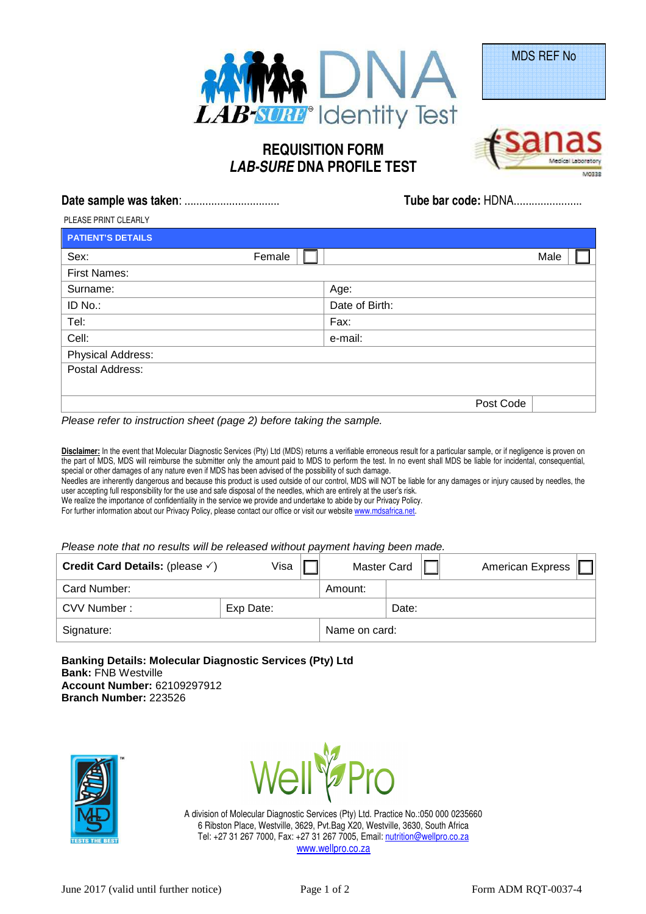

## **REQUISITION FORM LAB-SURE DNA PROFILE TEST**



MDS REF No

|                          | Tube bar code: HDNA |  |  |  |
|--------------------------|---------------------|--|--|--|
| PLEASE PRINT CLEARLY     |                     |  |  |  |
| <b>PATIENT'S DETAILS</b> |                     |  |  |  |
|                          |                     |  |  |  |

| Sex:                     | Female  | Male           |  |
|--------------------------|---------|----------------|--|
| <b>First Names:</b>      |         |                |  |
| Surname:                 | Age:    |                |  |
| ID No.:                  |         | Date of Birth: |  |
| Tel:                     | Fax:    |                |  |
| Cell:                    | e-mail: |                |  |
| <b>Physical Address:</b> |         |                |  |
| Postal Address:          |         |                |  |
|                          |         |                |  |
|                          |         | Post Code      |  |

Please refer to instruction sheet (page 2) before taking the sample.

**Disclaimer:** In the event that Molecular Diagnostic Services (Pty) Ltd (MDS) returns a verifiable erroneous result for a particular sample, or if negligence is proven on the part of MDS, MDS will reimburse the submitter only the amount paid to MDS to perform the test. In no event shall MDS be liable for incidental, consequential, special or other damages of any nature even if MDS has been advised of the possibility of such damage. Needles are inherently dangerous and because this product is used outside of our control, MDS will NOT be liable for any damages or injury caused by needles, the user accepting full responsibility for the use and safe disposal of the needles, which are entirely at the user's risk.

We realize the importance of confidentiality in the service we provide and undertake to abide by our Privacy Policy. For further information about our Privacy Policy, please contact our office or visit our website www.mdsafrica.net.

Please note that no results will be released without payment having been made.

| Credit Card Details: (please $\checkmark$ ) | Visa      | <b>Master Card</b> |       | <b>American Express</b> |  |
|---------------------------------------------|-----------|--------------------|-------|-------------------------|--|
| Card Number:                                |           | Amount:            |       |                         |  |
| CVV Number:                                 | Exp Date: |                    | Date: |                         |  |
| Signature:                                  |           | Name on card:      |       |                         |  |

**Banking Details: Molecular Diagnostic Services (Pty) Ltd Bank:** FNB Westville **Account Number:** 62109297912 **Branch Number:** 223526





A division of Molecular Diagnostic Services (Pty) Ltd. Practice No.:050 000 0235660 6 Ribston Place, Westville, 3629, Pvt.Bag X20, Westville, 3630, South Africa Tel: +27 31 267 7000, Fax: +27 31 267 7005, Email: nutrition@wellpro.co.za www.wellpro.co.za